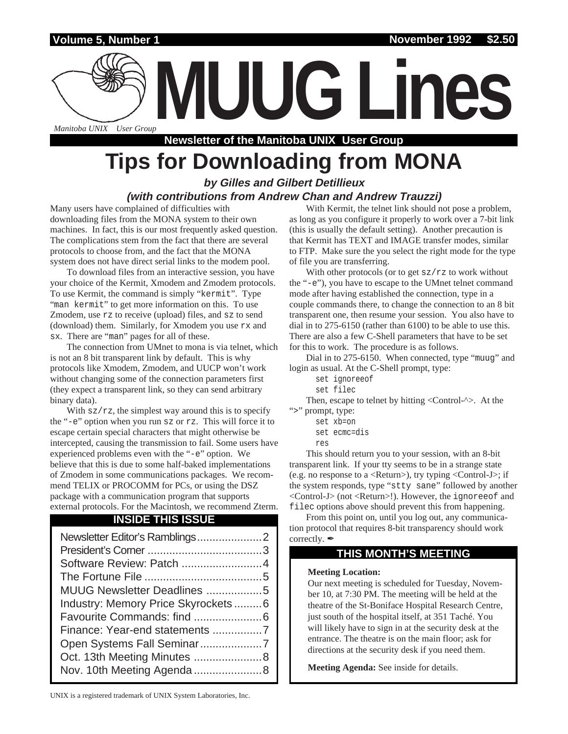*Manitoba UNIX<sup>®</sup> User Group* 

**Newsletter of the Manitoba UNIX User Group**

# **Tips for Downloading from MONA**

#### **by Gilles and Gilbert Detillieux (with contributions from Andrew Chan and Andrew Trauzzi)**

Many users have complained of difficulties with downloading files from the MONA system to their own machines. In fact, this is our most frequently asked question. The complications stem from the fact that there are several protocols to choose from, and the fact that the MONA system does not have direct serial links to the modem pool.

To download files from an interactive session, you have your choice of the Kermit, Xmodem and Zmodem protocols. To use Kermit, the command is simply "kermit". Type "man kermit" to get more information on this. To use Zmodem, use rz to receive (upload) files, and sz to send (download) them. Similarly, for Xmodem you use rx and sx. There are "man" pages for all of these.

The connection from UMnet to mona is via telnet, which is not an 8 bit transparent link by default. This is why protocols like Xmodem, Zmodem, and UUCP won't work without changing some of the connection parameters first (they expect a transparent link, so they can send arbitrary binary data).

With  $sz/rz$ , the simplest way around this is to specify the "-e" option when you run sz or rz. This will force it to escape certain special characters that might otherwise be intercepted, causing the transmission to fail. Some users have experienced problems even with the "-e" option. We believe that this is due to some half-baked implementations of Zmodem in some communications packages. We recommend TELIX or PROCOMM for PCs, or using the DSZ package with a communication program that supports external protocols. For the Macintosh, we recommend Zterm.

#### **INSIDE THIS ISSUE**

| Software Review: Patch 4           |
|------------------------------------|
|                                    |
| MUUG Newsletter Deadlines 5        |
| Industry: Memory Price Skyrockets6 |
|                                    |
|                                    |
| Open Systems Fall Seminar7         |
| Oct. 13th Meeting Minutes  8       |
| Nov. 10th Meeting Agenda 8         |

With Kermit, the telnet link should not pose a problem, as long as you configure it properly to work over a 7-bit link (this is usually the default setting). Another precaution is that Kermit has TEXT and IMAGE transfer modes, similar to FTP. Make sure the you select the right mode for the type of file you are transferring.

With other protocols (or to get  $sz / rz$  to work without the "-e"), you have to escape to the UMnet telnet command mode after having established the connection, type in a couple commands there, to change the connection to an 8 bit transparent one, then resume your session. You also have to dial in to 275-6150 (rather than 6100) to be able to use this. There are also a few C-Shell parameters that have to be set for this to work. The procedure is as follows.

Dial in to 275-6150. When connected, type "muug" and login as usual. At the C-Shell prompt, type:

**MUUG Lines**

set filec

Then, escape to telnet by hitting <Control- $\uparrow$ >. At the ">" prompt, type:

set xb=on

set ecmc=dis

This should return you to your session, with an 8-bit transparent link. If your tty seems to be in a strange state (e.g. no response to a  $\langle Return \rangle$ ), try typing  $\langle Control-J \rangle$ ; if the system responds, type "stty sane" followed by another <Control-J> (not <Return>!). However, the ignoreeof and filec options above should prevent this from happening.

From this point on, until you log out, any communication protocol that requires 8-bit transparency should work correctly.  $\mathscr{I}$ 

#### **THIS MONTH'S MEETING**

#### **Meeting Location:**

Our next meeting is scheduled for Tuesday, November 10, at 7:30 PM. The meeting will be held at the theatre of the St-Boniface Hospital Research Centre, just south of the hospital itself, at 351 Taché. You will likely have to sign in at the security desk at the entrance. The theatre is on the main floor; ask for directions at the security desk if you need them.

**Meeting Agenda:** See inside for details.

UNIX is a registered trademark of UNIX System Laboratories, Inc.

set ignoreeof

res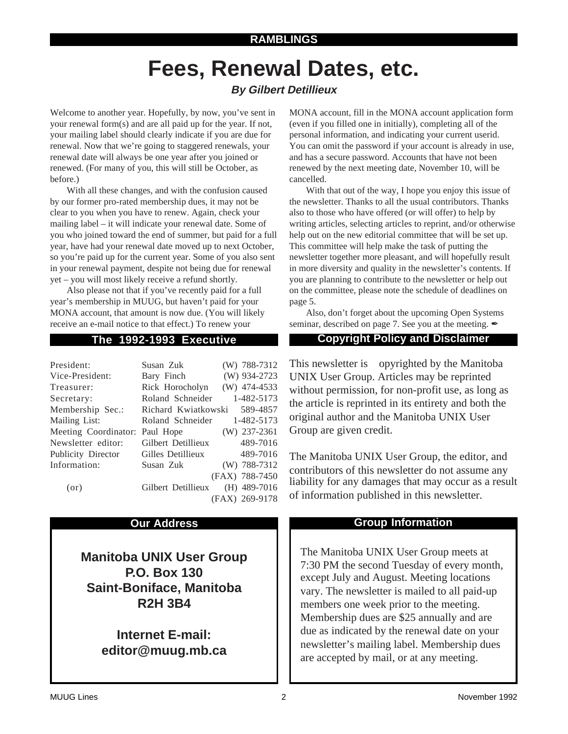#### **RAMBLINGS**

## **Fees, Renewal Dates, etc. By Gilbert Detillieux**

Welcome to another year. Hopefully, by now, you've sent in your renewal form(s) and are all paid up for the year. If not, your mailing label should clearly indicate if you are due for renewal. Now that we're going to staggered renewals, your renewal date will always be one year after you joined or renewed. (For many of you, this will still be October, as before.)

With all these changes, and with the confusion caused by our former pro-rated membership dues, it may not be clear to you when you have to renew. Again, check your mailing label – it will indicate your renewal date. Some of you who joined toward the end of summer, but paid for a full year, have had your renewal date moved up to next October, so you're paid up for the current year. Some of you also sent in your renewal payment, despite not being due for renewal yet – you will most likely receive a refund shortly.

Also please not that if you've recently paid for a full year's membership in MUUG, but haven't paid for your MONA account, that amount is now due. (You will likely receive an e-mail notice to that effect.) To renew your

| President:                     | Susan Zuk                    | (W) 788-7312   |
|--------------------------------|------------------------------|----------------|
| Vice-President:                | Bary Finch                   | (W) 934-2723   |
| Treasurer:                     | Rick Horocholyn              | (W) 474-4533   |
| Secretary:                     | Roland Schneider             | 1-482-5173     |
| Membership Sec.:               | Richard Kwiatkowski 589-4857 |                |
| Mailing List:                  | Roland Schneider             | 1-482-5173     |
| Meeting Coordinator: Paul Hope |                              | $(W)$ 237-2361 |
| Newsletter editor:             | Gilbert Detillieux           | 489-7016       |
| Publicity Director             | Gilles Detillieux            | 489-7016       |
| Information:                   | Susan Zuk                    | (W) 788-7312   |
|                                |                              | (FAX) 788-7450 |
| (or)                           | Gilbert Detillieux           | $(H)$ 489-7016 |
|                                |                              | (FAX) 269-9178 |

**Manitoba UNIX User Group P.O. Box 130 Saint-Boniface, Manitoba R2H 3B4**

> **Internet E-mail: editor@muug.mb.ca**

MONA account, fill in the MONA account application form (even if you filled one in initially), completing all of the personal information, and indicating your current userid. You can omit the password if your account is already in use, and has a secure password. Accounts that have not been renewed by the next meeting date, November 10, will be cancelled.

With that out of the way, I hope you enjoy this issue of the newsletter. Thanks to all the usual contributors. Thanks also to those who have offered (or will offer) to help by writing articles, selecting articles to reprint, and/or otherwise help out on the new editorial committee that will be set up. This committee will help make the task of putting the newsletter together more pleasant, and will hopefully result in more diversity and quality in the newsletter's contents. If you are planning to contribute to the newsletter or help out on the committee, please note the schedule of deadlines on page 5.

Also, don't forget about the upcoming Open Systems seminar, described on page 7. See you at the meeting.  $\mathscr I$ 

#### **The 1992-1993 Executive Copyright Policy and Disclaimer**

This newsletter is Copyrighted by the Manitoba UNIX User Group. Articles may be reprinted without permission, for non-profit use, as long as the article is reprinted in its entirety and both the original author and the Manitoba UNIX User Group are given credit.

The Manitoba UNIX User Group, the editor, and contributors of this newsletter do not assume any liability for any damages that may occur as a result of information published in this newsletter.

#### **Our Address Community Community Community Community Community Community Community Community Community Community Community Community Community Community Community Community Community Community Community Community Community**

The Manitoba UNIX User Group meets at 7:30 PM the second Tuesday of every month, except July and August. Meeting locations vary. The newsletter is mailed to all paid-up members one week prior to the meeting. Membership dues are \$25 annually and are due as indicated by the renewal date on your newsletter's mailing label. Membership dues are accepted by mail, or at any meeting.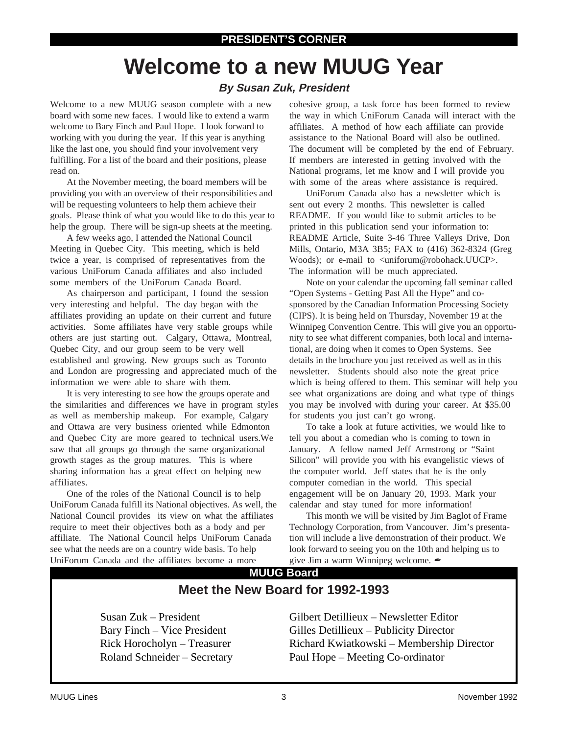## **Welcome to a new MUUG Year By Susan Zuk, President**

Welcome to a new MUUG season complete with a new board with some new faces. I would like to extend a warm welcome to Bary Finch and Paul Hope. I look forward to working with you during the year. If this year is anything like the last one, you should find your involvement very fulfilling. For a list of the board and their positions, please read on.

At the November meeting, the board members will be providing you with an overview of their responsibilities and will be requesting volunteers to help them achieve their goals. Please think of what you would like to do this year to help the group. There will be sign-up sheets at the meeting.

A few weeks ago, I attended the National Council Meeting in Quebec City. This meeting, which is held twice a year, is comprised of representatives from the various UniForum Canada affiliates and also included some members of the UniForum Canada Board.

As chairperson and participant, I found the session very interesting and helpful. The day began with the affiliates providing an update on their current and future activities. Some affiliates have very stable groups while others are just starting out. Calgary, Ottawa, Montreal, Quebec City, and our group seem to be very well established and growing. New groups such as Toronto and London are progressing and appreciated much of the information we were able to share with them.

It is very interesting to see how the groups operate and the similarities and differences we have in program styles as well as membership makeup. For example, Calgary and Ottawa are very business oriented while Edmonton and Quebec City are more geared to technical users.We saw that all groups go through the same organizational growth stages as the group matures. This is where sharing information has a great effect on helping new affiliates.

One of the roles of the National Council is to help UniForum Canada fulfill its National objectives. As well, the National Council provides its view on what the affiliates require to meet their objectives both as a body and per affiliate. The National Council helps UniForum Canada see what the needs are on a country wide basis. To help UniForum Canada and the affiliates become a more

cohesive group, a task force has been formed to review the way in which UniForum Canada will interact with the affiliates. A method of how each affiliate can provide assistance to the National Board will also be outlined. The document will be completed by the end of February. If members are interested in getting involved with the National programs, let me know and I will provide you with some of the areas where assistance is required.

UniForum Canada also has a newsletter which is sent out every 2 months. This newsletter is called README. If you would like to submit articles to be printed in this publication send your information to: README Article, Suite 3-46 Three Valleys Drive, Don Mills, Ontario, M3A 3B5; FAX to (416) 362-8324 (Greg Woods); or e-mail to <uniforum@robohack.UUCP>. The information will be much appreciated.

Note on your calendar the upcoming fall seminar called "Open Systems - Getting Past All the Hype" and cosponsored by the Canadian Information Processing Society (CIPS). It is being held on Thursday, November 19 at the Winnipeg Convention Centre. This will give you an opportunity to see what different companies, both local and international, are doing when it comes to Open Systems. See details in the brochure you just received as well as in this newsletter. Students should also note the great price which is being offered to them. This seminar will help you see what organizations are doing and what type of things you may be involved with during your career. At \$35.00 for students you just can't go wrong.

To take a look at future activities, we would like to tell you about a comedian who is coming to town in January. A fellow named Jeff Armstrong or "Saint Silicon" will provide you with his evangelistic views of the computer world. Jeff states that he is the only computer comedian in the world. This special engagement will be on January 20, 1993. Mark your calendar and stay tuned for more information!

This month we will be visited by Jim Baglot of Frame Technology Corporation, from Vancouver. Jim's presentation will include a live demonstration of their product. We look forward to seeing you on the 10th and helping us to give Jim a warm Winnipeg welcome.

#### **MUUG Board**

### **Meet the New Board for 1992-1993**

Susan Zuk – President Bary Finch – Vice President Rick Horocholyn – Treasurer Roland Schneider – Secretary

Gilbert Detillieux – Newsletter Editor Gilles Detillieux – Publicity Director Richard Kwiatkowski – Membership Director Paul Hope – Meeting Co-ordinator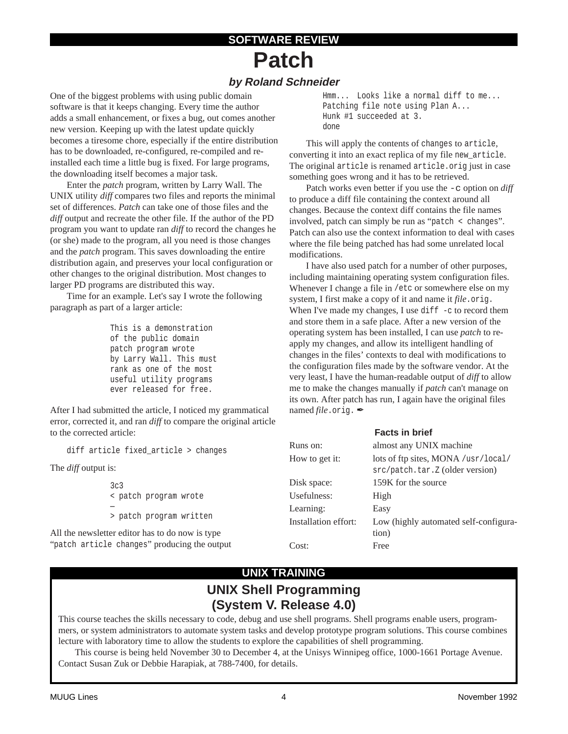# **SOFTWARE REVIEW Patch**

#### **by Roland Schneider**

One of the biggest problems with using public domain software is that it keeps changing. Every time the author adds a small enhancement, or fixes a bug, out comes another new version. Keeping up with the latest update quickly becomes a tiresome chore, especially if the entire distribution has to be downloaded, re-configured, re-compiled and reinstalled each time a little bug is fixed. For large programs, the downloading itself becomes a major task.

Enter the *patch* program, written by Larry Wall. The UNIX utility *diff* compares two files and reports the minimal set of differences. *Patch* can take one of those files and the *diff* output and recreate the other file. If the author of the PD program you want to update ran *diff* to record the changes he (or she) made to the program, all you need is those changes and the *patch* program. This saves downloading the entire distribution again, and preserves your local configuration or other changes to the original distribution. Most changes to larger PD programs are distributed this way.

Time for an example. Let's say I wrote the following paragraph as part of a larger article:

```
This is a demonstration
of the public domain
patch program wrote
by Larry Wall. This must
rank as one of the most
useful utility programs
ever released for free.
```
After I had submitted the article, I noticed my grammatical error, corrected it, and ran *diff* to compare the original article to the corrected article:

```
diff article fixed article > changes
```
The *diff* output is:

```
3c3
< patch program wrote
—
> patch program written
```
All the newsletter editor has to do now is type "patch article changes" producing the output

Hmm... Looks like a normal diff to me... Patching file note using Plan A... Hunk #1 succeeded at 3. done

This will apply the contents of changes to article, converting it into an exact replica of my file new\_article. The original article is renamed article.orig just in case something goes wrong and it has to be retrieved.

Patch works even better if you use the -c option on *diff* to produce a diff file containing the context around all changes. Because the context diff contains the file names involved, patch can simply be run as "patch < changes". Patch can also use the context information to deal with cases where the file being patched has had some unrelated local modifications.

I have also used patch for a number of other purposes, including maintaining operating system configuration files. Whenever I change a file in /etc or somewhere else on my system, I first make a copy of it and name it *file*.orig. When I've made my changes, I use diff  $-c$  to record them and store them in a safe place. After a new version of the operating system has been installed, I can use *patch* to reapply my changes, and allow its intelligent handling of changes in the files' contexts to deal with modifications to the configuration files made by the software vendor. At the very least, I have the human-readable output of *diff* to allow me to make the changes manually if *patch* can't manage on its own. After patch has run, I again have the original files named *file*.orig. ✒

#### **Facts in brief** Runs on: almost any UNIX machine How to get it: lots of ftp sites, MONA /usr/local/ src/patch.tar.Z (older version) Disk space: 159K for the source Usefulness: High Learning: Easy Installation effort: Low (highly automated self-configuration) Cost: Free

### **UNIX TRAINING**

### **UNIX Shell Programming (System V. Release 4.0)**

This course teaches the skills necessary to code, debug and use shell programs. Shell programs enable users, programmers, or system administrators to automate system tasks and develop prototype program solutions. This course combines lecture with laboratory time to allow the students to explore the capabilities of shell programming.

This course is being held November 30 to December 4, at the Unisys Winnipeg office, 1000-1661 Portage Avenue. Contact Susan Zuk or Debbie Harapiak, at 788-7400, for details.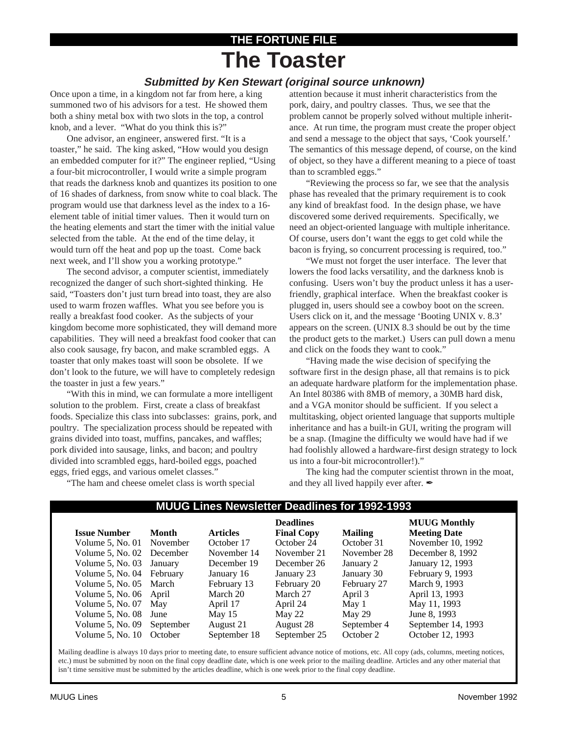## **THE FORTUNE FILE The Toaster**

#### **Submitted by Ken Stewart (original source unknown)**

Once upon a time, in a kingdom not far from here, a king summoned two of his advisors for a test. He showed them both a shiny metal box with two slots in the top, a control knob, and a lever. "What do you think this is?"

One advisor, an engineer, answered first. "It is a toaster," he said. The king asked, "How would you design an embedded computer for it?" The engineer replied, "Using a four-bit microcontroller, I would write a simple program that reads the darkness knob and quantizes its position to one of 16 shades of darkness, from snow white to coal black. The program would use that darkness level as the index to a 16 element table of initial timer values. Then it would turn on the heating elements and start the timer with the initial value selected from the table. At the end of the time delay, it would turn off the heat and pop up the toast. Come back next week, and I'll show you a working prototype."

The second advisor, a computer scientist, immediately recognized the danger of such short-sighted thinking. He said, "Toasters don't just turn bread into toast, they are also used to warm frozen waffles. What you see before you is really a breakfast food cooker. As the subjects of your kingdom become more sophisticated, they will demand more capabilities. They will need a breakfast food cooker that can also cook sausage, fry bacon, and make scrambled eggs. A toaster that only makes toast will soon be obsolete. If we don't look to the future, we will have to completely redesign the toaster in just a few years."

"With this in mind, we can formulate a more intelligent solution to the problem. First, create a class of breakfast foods. Specialize this class into subclasses: grains, pork, and poultry. The specialization process should be repeated with grains divided into toast, muffins, pancakes, and waffles; pork divided into sausage, links, and bacon; and poultry divided into scrambled eggs, hard-boiled eggs, poached eggs, fried eggs, and various omelet classes."

"The ham and cheese omelet class is worth special

attention because it must inherit characteristics from the pork, dairy, and poultry classes. Thus, we see that the problem cannot be properly solved without multiple inheritance. At run time, the program must create the proper object and send a message to the object that says, 'Cook yourself.' The semantics of this message depend, of course, on the kind of object, so they have a different meaning to a piece of toast than to scrambled eggs."

"Reviewing the process so far, we see that the analysis phase has revealed that the primary requirement is to cook any kind of breakfast food. In the design phase, we have discovered some derived requirements. Specifically, we need an object-oriented language with multiple inheritance. Of course, users don't want the eggs to get cold while the bacon is frying, so concurrent processing is required, too."

"We must not forget the user interface. The lever that lowers the food lacks versatility, and the darkness knob is confusing. Users won't buy the product unless it has a userfriendly, graphical interface. When the breakfast cooker is plugged in, users should see a cowboy boot on the screen. Users click on it, and the message 'Booting UNIX v. 8.3' appears on the screen. (UNIX 8.3 should be out by the time the product gets to the market.) Users can pull down a menu and click on the foods they want to cook."

"Having made the wise decision of specifying the software first in the design phase, all that remains is to pick an adequate hardware platform for the implementation phase. An Intel 80386 with 8MB of memory, a 30MB hard disk, and a VGA monitor should be sufficient. If you select a multitasking, object oriented language that supports multiple inheritance and has a built-in GUI, writing the program will be a snap. (Imagine the difficulty we would have had if we had foolishly allowed a hardware-first design strategy to lock us into a four-bit microcontroller!)."

The king had the computer scientist thrown in the moat, and they all lived happily ever after.  $\mathscr I$ 

| <b>Issue Number</b>       | <b>Month</b> | <b>Articles</b> | <b>Deadlines</b><br><b>Final Copy</b> | <b>Mailing</b> | <b>MUUG Monthly</b><br><b>Meeting Date</b> |
|---------------------------|--------------|-----------------|---------------------------------------|----------------|--------------------------------------------|
| Volume $5$ , No. 01       | November     | October 17      | October 24                            | October 31     | November 10, 1992                          |
| Volume 5, No. 02 December |              | November 14     | November 21                           | November 28    | December 8, 1992                           |
| Volume $5$ , No. 03       | January      | December 19     | December 26                           | January 2      | January 12, 1993                           |
| Volume $5$ , No. 04       | February     | January 16      | January 23                            | January 30     | February 9, 1993                           |
| Volume $5$ , No. $05$     | March        | February 13     | February 20                           | February 27    | March 9, 1993                              |
| Volume $5$ , No. 06       | April        | March 20        | March 27                              | April 3        | April 13, 1993                             |
| Volume 5, No. 07          | May          | April 17        | April 24                              | May 1          | May 11, 1993                               |
| Volume $5$ , No. 08       | June         | May $15$        | May 22                                | May 29         | June 8, 1993                               |
| Volume $5$ , No. 09       | September    | August 21       | August 28                             | September 4    | September 14, 1993                         |
| Volume $5$ , No. 10       | October      | September 18    | September 25                          | October 2      | October 12, 1993                           |

**MUUG Lines Newsletter Deadlines for 1992-1993**

Mailing deadline is always 10 days prior to meeting date, to ensure sufficient advance notice of motions, etc. All copy (ads, columns, meeting notices, etc.) must be submitted by noon on the final copy deadline date, which is one week prior to the mailing deadline. Articles and any other material that isn't time sensitive must be submitted by the articles deadline, which is one week prior to the final copy deadline.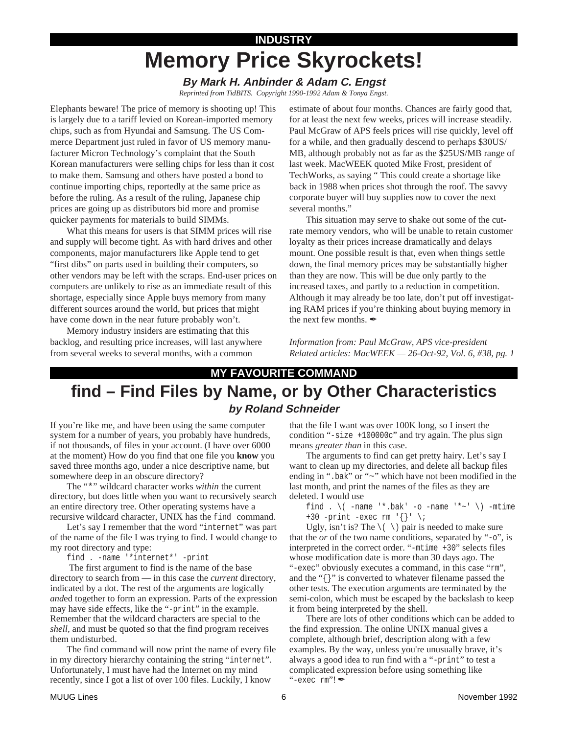# **INDUSTRY Memory Price Skyrockets!**

#### **By Mark H. Anbinder & Adam C. Engst**

*Reprinted from TidBITS. Copyright 1990-1992 Adam & Tonya Engst.*

Elephants beware! The price of memory is shooting up! This is largely due to a tariff levied on Korean-imported memory chips, such as from Hyundai and Samsung. The US Commerce Department just ruled in favor of US memory manufacturer Micron Technology's complaint that the South Korean manufacturers were selling chips for less than it cost to make them. Samsung and others have posted a bond to continue importing chips, reportedly at the same price as before the ruling. As a result of the ruling, Japanese chip prices are going up as distributors bid more and promise quicker payments for materials to build SIMMs.

What this means for users is that SIMM prices will rise and supply will become tight. As with hard drives and other components, major manufacturers like Apple tend to get "first dibs" on parts used in building their computers, so other vendors may be left with the scraps. End-user prices on computers are unlikely to rise as an immediate result of this shortage, especially since Apple buys memory from many different sources around the world, but prices that might have come down in the near future probably won't.

Memory industry insiders are estimating that this backlog, and resulting price increases, will last anywhere from several weeks to several months, with a common

estimate of about four months. Chances are fairly good that, for at least the next few weeks, prices will increase steadily. Paul McGraw of APS feels prices will rise quickly, level off for a while, and then gradually descend to perhaps \$30US/ MB, although probably not as far as the \$25US/MB range of last week. MacWEEK quoted Mike Frost, president of TechWorks, as saying " This could create a shortage like back in 1988 when prices shot through the roof. The savvy corporate buyer will buy supplies now to cover the next several months."

This situation may serve to shake out some of the cutrate memory vendors, who will be unable to retain customer loyalty as their prices increase dramatically and delays mount. One possible result is that, even when things settle down, the final memory prices may be substantially higher than they are now. This will be due only partly to the increased taxes, and partly to a reduction in competition. Although it may already be too late, don't put off investigating RAM prices if you're thinking about buying memory in the next few months.  $\mathscr{I}$ 

*Information from: Paul McGraw, APS vice-president Related articles: MacWEEK — 26-Oct-92, Vol. 6, #38, pg. 1*

### **MY FAVOURITE COMMAND**

### **find – Find Files by Name, or by Other Characteristics by Roland Schneider**

If you're like me, and have been using the same computer system for a number of years, you probably have hundreds, if not thousands, of files in your account. (I have over 6000 at the moment) How do you find that one file you **know** you saved three months ago, under a nice descriptive name, but somewhere deep in an obscure directory?

The "\*" wildcard character works *within* the current directory, but does little when you want to recursively search an entire directory tree. Other operating systems have a recursive wildcard character, UNIX has the find command.

Let's say I remember that the word "internet" was part of the name of the file I was trying to find. I would change to my root directory and type:

find . -name '\*internet\*' -print

 The first argument to find is the name of the base directory to search from — in this case the *current* directory, indicated by a dot. The rest of the arguments are logically *and*ed together to form an expression. Parts of the expression may have side effects, like the "-print" in the example. Remember that the wildcard characters are special to the *shell,* and must be quoted so that the find program receives them undisturbed.

The find command will now print the name of every file in my directory hierarchy containing the string "internet". Unfortunately, I must have had the Internet on my mind recently, since I got a list of over 100 files. Luckily, I know

that the file I want was over 100K long, so I insert the condition "-size +100000c" and try again. The plus sign means *greater than* in this case.

The arguments to find can get pretty hairy. Let's say I want to clean up my directories, and delete all backup files ending in ".bak" or "~" which have not been modified in the last month, and print the names of the files as they are deleted. I would use

find .  $\langle$  -name '\*.bak' -o -name '\*~'  $\langle$  ) -mtime +30 -print -exec rm  $\{\}$ ' \;

Ugly, isn't is? The  $\setminus$   $\setminus$  pair is needed to make sure that the *or* of the two name conditions, separated by "-o", is interpreted in the correct order. "-mtime +30" selects files whose modification date is more than 30 days ago. The "-exec" obviously executes a command, in this case "rm", and the "{}" is converted to whatever filename passed the other tests. The execution arguments are terminated by the semi-colon, which must be escaped by the backslash to keep it from being interpreted by the shell.

There are lots of other conditions which can be added to the find expression. The online UNIX manual gives a complete, although brief, description along with a few examples. By the way, unless you're unusually brave, it's always a good idea to run find with a "-print" to test a complicated expression before using something like "-exec rm"! ✒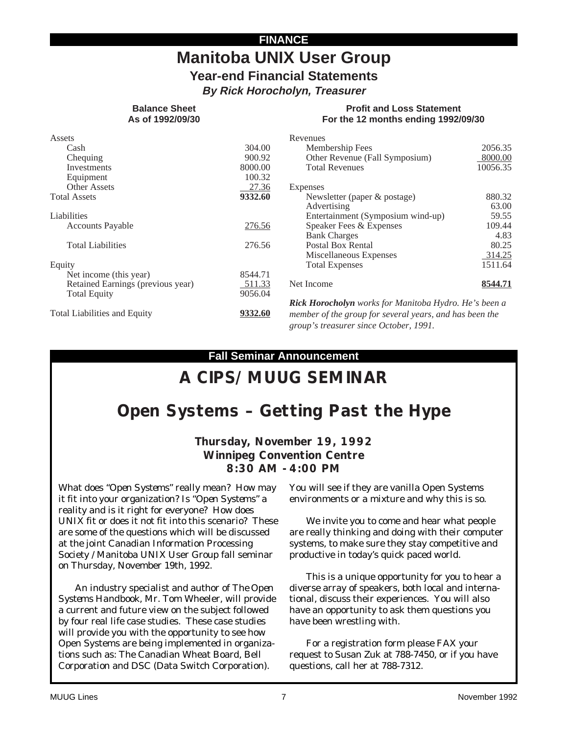### **FINANCE Manitoba UNIX User Group Year-end Financial Statements By Rick Horocholyn, Treasurer**

Revenues

#### **Balance Sheet As of 1992/09/30**

#### **Profit and Loss Statement For the 12 months ending 1992/09/30**

Membership Fees 2056.35

| Assets<br>Cash<br>Chequing<br><b>Investments</b><br>Equipment<br><b>Other Assets</b><br><b>Total Assets</b> | 304.00<br>900.92<br>8000.00<br>100.32<br>27.36<br>9332.60 |
|-------------------------------------------------------------------------------------------------------------|-----------------------------------------------------------|
| Liabilities<br><b>Accounts Payable</b>                                                                      | 276.56                                                    |
| <b>Total Liabilities</b>                                                                                    | 276.56                                                    |
| Equity<br>Net income (this year)<br>Retained Earnings (previous year)<br><b>Total Equity</b>                | 8544.71<br>511.33<br>9056.04                              |
| <b>Total Liabilities and Equity</b>                                                                         |                                                           |

| $1.1$ . The state of $1.0$ is $1.0$ in $1.0$ in $1.0$ in $1.0$ in $1.0$ in $1.0$ in $1.0$ in $1.0$ in $1.0$ in $1.0$ in $1.0$ in $1.0$ in $1.0$ in $1.0$ in $1.0$ in $1.0$ in $1.0$ in $1.0$ in $1.0$ in $1.0$ in $1.0$ in $1$ |          |
|--------------------------------------------------------------------------------------------------------------------------------------------------------------------------------------------------------------------------------|----------|
| Other Revenue (Fall Symposium)                                                                                                                                                                                                 | 8000.00  |
| <b>Total Revenues</b>                                                                                                                                                                                                          | 10056.35 |
|                                                                                                                                                                                                                                |          |
| Expenses                                                                                                                                                                                                                       |          |
| Newsletter (paper & postage)                                                                                                                                                                                                   | 880.32   |
| Advertising                                                                                                                                                                                                                    | 63.00    |
| Entertainment (Symposium wind-up)                                                                                                                                                                                              | 59.55    |
| Speaker Fees & Expenses                                                                                                                                                                                                        | 109.44   |
| <b>Bank Charges</b>                                                                                                                                                                                                            | 4.83     |
| Postal Box Rental                                                                                                                                                                                                              | 80.25    |
| Miscellaneous Expenses                                                                                                                                                                                                         | 314.25   |
| <b>Total Expenses</b>                                                                                                                                                                                                          | 1511.64  |
| Net Income                                                                                                                                                                                                                     | 8544.71  |
|                                                                                                                                                                                                                                |          |

*Rick Horocholyn works for Manitoba Hydro. He's been a member of the group for several years, and has been the group's treasurer since October, 1991.*

#### **Fall Seminar Announcement**

## **A CIPS/MUUG SEMINAR**

### **Open Systems – Getting Past the Hype**

**Thursday, November 19, 1992 Winnipeg Convention Centre 8:30 AM - 4:00 PM**

What does "*Open Systems*" really mean? How may it fit into your organization? Is "*Open Systems*" a reality and is it right for everyone? How does UNIX fit or does it not fit into this scenario? These are some of the questions which will be discussed at the joint Canadian Information Processing Society / Manitoba UNIX User Group fall seminar on Thursday, November 19th, 1992.

An industry specialist and author of *The Open Systems Handbook*, Mr. Tom Wheeler, will provide a current and future view on the subject followed by four real life case studies. These case studies will provide you with the opportunity to see how Open Systems are being implemented in organizations such as: The Canadian Wheat Board, Bell Corporation and DSC (Data Switch Corporation).

You will see if they are vanilla Open Systems environments or a mixture and why this is so.

We invite you to come and hear what people are really thinking and doing with their computer systems, to make sure they stay competitive and productive in today's quick paced world.

This is a unique opportunity for you to hear a diverse array of speakers, both local and international, discuss their experiences. You will also have an opportunity to ask them questions you have been wrestling with.

For a registration form please FAX your request to Susan Zuk at 788-7450, or if you have questions, call her at 788-7312.